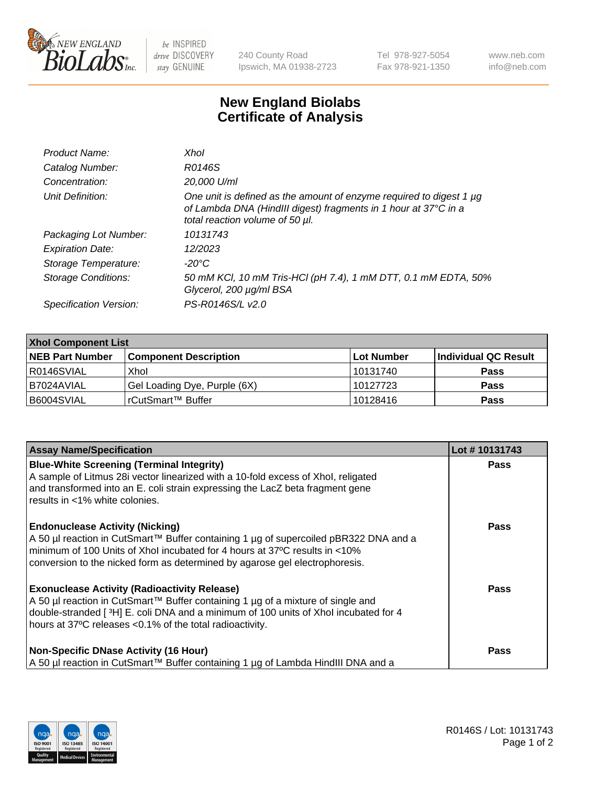

 $be$  INSPIRED drive DISCOVERY stay GENUINE

240 County Road Ipswich, MA 01938-2723 Tel 978-927-5054 Fax 978-921-1350 www.neb.com info@neb.com

## **New England Biolabs Certificate of Analysis**

| Product Name:              | Xhol                                                                                                                                                                      |
|----------------------------|---------------------------------------------------------------------------------------------------------------------------------------------------------------------------|
| Catalog Number:            | R0146S                                                                                                                                                                    |
| Concentration:             | 20,000 U/ml                                                                                                                                                               |
| Unit Definition:           | One unit is defined as the amount of enzyme required to digest 1 µg<br>of Lambda DNA (HindIII digest) fragments in 1 hour at 37°C in a<br>total reaction volume of 50 µl. |
| Packaging Lot Number:      | 10131743                                                                                                                                                                  |
| <b>Expiration Date:</b>    | 12/2023                                                                                                                                                                   |
| Storage Temperature:       | -20°C                                                                                                                                                                     |
| <b>Storage Conditions:</b> | 50 mM KCl, 10 mM Tris-HCl (pH 7.4), 1 mM DTT, 0.1 mM EDTA, 50%<br>Glycerol, 200 µg/ml BSA                                                                                 |
| Specification Version:     | PS-R0146S/L v2.0                                                                                                                                                          |

| <b>Xhol Component List</b> |                              |             |                      |  |  |
|----------------------------|------------------------------|-------------|----------------------|--|--|
| <b>NEB Part Number</b>     | <b>Component Description</b> | ∣Lot Number | Individual QC Result |  |  |
| R0146SVIAL                 | Xhol                         | 10131740    | <b>Pass</b>          |  |  |
| IB7024AVIAL                | Gel Loading Dye, Purple (6X) | 10127723    | <b>Pass</b>          |  |  |
| B6004SVIAL                 | rCutSmart™ Buffer            | 10128416    | <b>Pass</b>          |  |  |

| <b>Assay Name/Specification</b>                                                                                                                                                                                                                                                           | Lot #10131743 |
|-------------------------------------------------------------------------------------------------------------------------------------------------------------------------------------------------------------------------------------------------------------------------------------------|---------------|
| <b>Blue-White Screening (Terminal Integrity)</b><br>A sample of Litmus 28i vector linearized with a 10-fold excess of Xhol, religated<br>and transformed into an E. coli strain expressing the LacZ beta fragment gene                                                                    | <b>Pass</b>   |
| results in <1% white colonies.<br><b>Endonuclease Activity (Nicking)</b><br>A 50 µl reaction in CutSmart™ Buffer containing 1 µg of supercoiled pBR322 DNA and a                                                                                                                          | <b>Pass</b>   |
| minimum of 100 Units of Xhol incubated for 4 hours at 37°C results in <10%<br>conversion to the nicked form as determined by agarose gel electrophoresis.                                                                                                                                 |               |
| <b>Exonuclease Activity (Radioactivity Release)</b><br>A 50 µl reaction in CutSmart™ Buffer containing 1 µg of a mixture of single and<br>double-stranded [3H] E. coli DNA and a minimum of 100 units of Xhol incubated for 4<br>hours at 37°C releases <0.1% of the total radioactivity. | <b>Pass</b>   |
| <b>Non-Specific DNase Activity (16 Hour)</b><br>A 50 µl reaction in CutSmart™ Buffer containing 1 µg of Lambda HindIII DNA and a                                                                                                                                                          | Pass          |